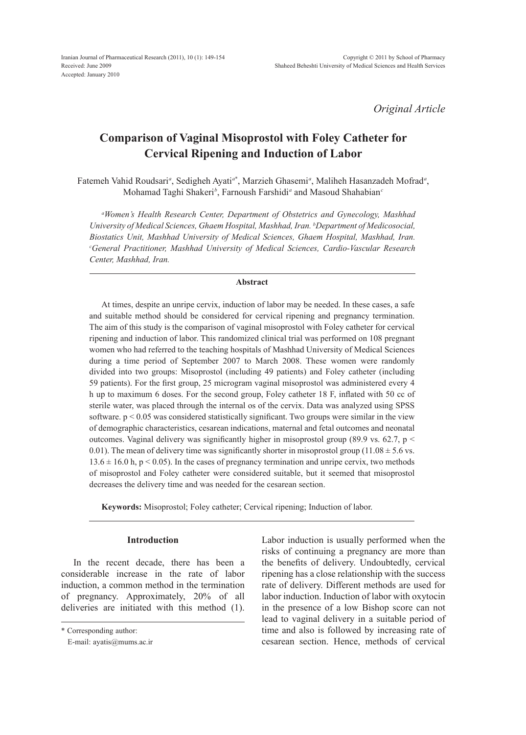*Original Article*

# **Comparison of Vaginal Misoprostol with Foley Catheter for Cervical Ripening and Induction of Labor**

Fatemeh Vahid Roudsari<sup>a</sup>, Sedigheh Ayati<sup>a\*</sup>, Marzieh Ghasemi<sup>a</sup>, Maliheh Hasanzadeh Mofrad<sup>a</sup>, Mohamad Taghi Shakeri*<sup>b</sup>* , Farnoush Farshidi*<sup>a</sup>* and Masoud Shahabian*<sup>c</sup>*

*a Women's Health Research Center, Department of Obstetrics and Gynecology, Mashhad University of Medical Sciences, Ghaem Hospital, Mashhad, Iran. b Department of Medicosocial, Biostatics Unit, Mashhad University of Medical Sciences, Ghaem Hospital, Mashhad, Iran. c General Practitioner, Mashhad University of Medical Sciences, Cardio-Vascular Research Center, Mashhad, Iran.*

## **Abstract**

At times, despite an unripe cervix, induction of labor may be needed. In these cases, a safe and suitable method should be considered for cervical ripening and pregnancy termination. The aim of this study is the comparison of vaginal misoprostol with Foley catheter for cervical ripening and induction of labor. This randomized clinical trial was performed on 108 pregnant women who had referred to the teaching hospitals of Mashhad University of Medical Sciences during a time period of September 2007 to March 2008. These women were randomly divided into two groups: Misoprostol (including 49 patients) and Foley catheter (including 59 patients). For the first group, 25 microgram vaginal misoprostol was administered every 4 h up to maximum 6 doses. For the second group, Foley catheter 18 F, inflated with 50 cc of sterile water, was placed through the internal os of the cervix. Data was analyzed using SPSS software.  $p < 0.05$  was considered statistically significant. Two groups were similar in the view of demographic characteristics, cesarean indications, maternal and fetal outcomes and neonatal outcomes. Vaginal delivery was significantly higher in misoprostol group (89.9 vs. 62.7, p < 0.01). The mean of delivery time was significantly shorter in misoprostol group (11.08  $\pm$  5.6 vs.  $13.6 \pm 16.0$  h, p < 0.05). In the cases of pregnancy termination and unripe cervix, two methods of misoprostol and Foley catheter were considered suitable, but it seemed that misoprostol decreases the delivery time and was needed for the cesarean section.

**Keywords:** Misoprostol; Foley catheter; Cervical ripening; Induction of labor.

## **Introduction**

In the recent decade, there has been a considerable increase in the rate of labor induction, a common method in the termination of pregnancy. Approximately, 20% of all deliveries are initiated with this method (1). Labor induction is usually performed when the risks of continuing a pregnancy are more than the benefits of delivery. Undoubtedly, cervical ripening has a close relationship with the success rate of delivery. Different methods are used for labor induction. Induction of labor with oxytocin in the presence of a low Bishop score can not lead to vaginal delivery in a suitable period of time and also is followed by increasing rate of cesarean section. Hence, methods of cervical

<sup>\*</sup> Corresponding author:

E-mail: ayatis@mums.ac.ir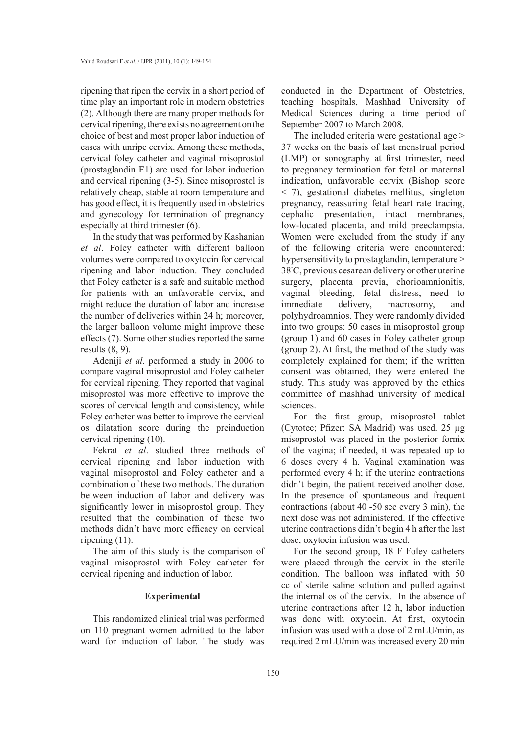ripening that ripen the cervix in a short period of time play an important role in modern obstetrics (2). Although there are many proper methods for cervical ripening, there exists no agreement on the choice of best and most proper labor induction of cases with unripe cervix. Among these methods, cervical foley catheter and vaginal misoprostol (prostaglandin E1) are used for labor induction and cervical ripening (3-5). Since misoprostol is relatively cheap, stable at room temperature and has good effect, it is frequently used in obstetrics and gynecology for termination of pregnancy especially at third trimester (6).

In the study that was performed by Kashanian *et al*. Foley catheter with different balloon volumes were compared to oxytocin for cervical ripening and labor induction. They concluded that Foley catheter is a safe and suitable method for patients with an unfavorable cervix, and might reduce the duration of labor and increase the number of deliveries within 24 h; moreover, the larger balloon volume might improve these effects (7). Some other studies reported the same results (8, 9).

Adeniji *et al*. performed a study in 2006 to compare vaginal misoprostol and Foley catheter for cervical ripening. They reported that vaginal misoprostol was more effective to improve the scores of cervical length and consistency, while Foley catheter was better to improve the cervical os dilatation score during the preinduction cervical ripening (10).

Fekrat *et al*. studied three methods of cervical ripening and labor induction with vaginal misoprostol and Foley catheter and a combination of these two methods. The duration between induction of labor and delivery was significantly lower in misoprostol group. They resulted that the combination of these two methods didn't have more efficacy on cervical ripening (11).

The aim of this study is the comparison of vaginal misoprostol with Foley catheter for cervical ripening and induction of labor.

### **Experimental**

This randomized clinical trial was performed on 110 pregnant women admitted to the labor ward for induction of labor. The study was

conducted in the Department of Obstetrics, teaching hospitals, Mashhad University of Medical Sciences during a time period of September 2007 to March 2008.

The included criteria were gestational age > 37 weeks on the basis of last menstrual period (LMP) or sonography at first trimester, need to pregnancy termination for fetal or maternal indication, unfavorable cervix (Bishop score < 7), gestational diabetes mellitus, singleton pregnancy, reassuring fetal heart rate tracing, cephalic presentation, intact membranes, low-located placenta, and mild preeclampsia. Women were excluded from the study if any of the following criteria were encountered: hypersensitivity to prostaglandin, temperature > 38˚ C, previous cesarean delivery or other uterine surgery, placenta previa, chorioamnionitis, vaginal bleeding, fetal distress, need to immediate delivery, macrosomy, and polyhydroamnios. They were randomly divided into two groups: 50 cases in misoprostol group (group 1) and 60 cases in Foley catheter group (group 2). At first, the method of the study was completely explained for them; if the written consent was obtained, they were entered the study. This study was approved by the ethics committee of mashhad university of medical sciences.

For the first group, misoprostol tablet (Cytotec; Pfizer: SA Madrid) was used. 25 µg misoprostol was placed in the posterior fornix of the vagina; if needed, it was repeated up to 6 doses every 4 h. Vaginal examination was performed every 4 h; if the uterine contractions didn't begin, the patient received another dose. In the presence of spontaneous and frequent contractions (about 40 -50 sec every 3 min), the next dose was not administered. If the effective uterine contractions didn't begin 4 h after the last dose, oxytocin infusion was used.

For the second group, 18 F Foley catheters were placed through the cervix in the sterile condition. The balloon was inflated with 50 cc of sterile saline solution and pulled against the internal os of the cervix. In the absence of uterine contractions after 12 h, labor induction was done with oxytocin. At first, oxytocin infusion was used with a dose of 2 mLU/min, as required 2 mLU/min was increased every 20 min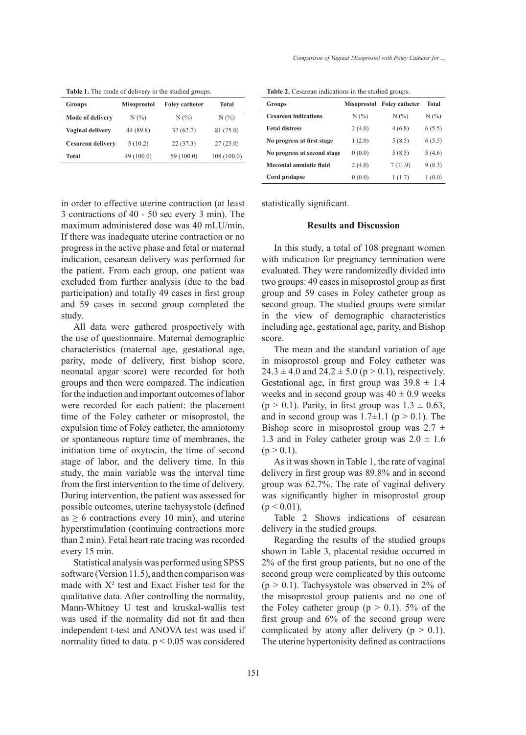**Table 1.** The mode of delivery in the studied groups.

| Groups                   | <b>Misoprostol</b> | <b>Foley catheter</b> | Total       |
|--------------------------|--------------------|-----------------------|-------------|
| Mode of delivery         | N(%)               | $N(\%)$               | N(%         |
| Vaginal delivery         | 44 (89.8)          | 37(62.7)              | 81 (75.0)   |
| <b>Cesarean delivery</b> | 5(10.2)            | 22(37.3)              | 27(25.0)    |
| Total                    | 49(100.0)          | 59 (100.0)            | 108 (100.0) |

**Table 2.** Cesarean indications in the studied groups.

| <b>Groups</b>               |        | Misoprostol Foley catheter | <b>Total</b> |
|-----------------------------|--------|----------------------------|--------------|
| <b>Cesarean indications</b> | N(%)   | N(%)                       | N(%)         |
| <b>Fetal distress</b>       | 2(4.0) | 4(6.8)                     | 6(5.5)       |
| No progress at first stage  | 1(2.0) | 5(8.5)                     | 6(5.5)       |
| No progress at second stage | 0(0.0) | 5(8.5)                     | 5(4.6)       |
| Meconial amniotic fluid     | 2(4.0) | 7(11.9)                    | 9(8.3)       |
| Cord prolapse               | 0(0.0) | 1(1.7)                     | 1(0.0)       |

in order to effective uterine contraction (at least 3 contractions of 40 - 50 sec every 3 min). The maximum administered dose was 40 mLU/min. If there was inadequate uterine contraction or no progress in the active phase and fetal or maternal indication, cesarean delivery was performed for the patient. From each group, one patient was excluded from further analysis (due to the bad participation) and totally 49 cases in first group and 59 cases in second group completed the study.

All data were gathered prospectively with the use of questionnaire. Maternal demographic characteristics (maternal age, gestational age, parity, mode of delivery, first bishop score, neonatal apgar score) were recorded for both groups and then were compared. The indication for the induction and important outcomes of labor were recorded for each patient: the placement time of the Foley catheter or misoprostol, the expulsion time of Foley catheter, the amniotomy or spontaneous rupture time of membranes, the initiation time of oxytocin, the time of second stage of labor, and the delivery time. In this study, the main variable was the interval time from the first intervention to the time of delivery. During intervention, the patient was assessed for possible outcomes, uterine tachysystole (defined as  $\geq 6$  contractions every 10 min), and uterine hyperstimulation (continuing contractions more than 2 min). Fetal heart rate tracing was recorded every 15 min.

Statistical analysis was performed using SPSS software (Version 11.5), and then comparison was made with  $X^2$  test and Exact Fisher test for the qualitative data. After controlling the normality, Mann-Whitney U test and kruskal-wallis test was used if the normality did not fit and then independent t-test and ANOVA test was used if normality fitted to data.  $p < 0.05$  was considered statistically significant.

#### **Results and Discussion**

In this study, a total of 108 pregnant women with indication for pregnancy termination were evaluated. They were randomizedly divided into two groups: 49 cases in misoprostol group as first group and 59 cases in Foley catheter group as second group. The studied groups were similar in the view of demographic characteristics including age, gestational age, parity, and Bishop score.

The mean and the standard variation of age in misoprostol group and Foley catheter was  $24.3 \pm 4.0$  and  $24.2 \pm 5.0$  (p > 0.1), respectively. Gestational age, in first group was  $39.8 \pm 1.4$ weeks and in second group was  $40 \pm 0.9$  weeks  $(p > 0.1)$ . Parity, in first group was  $1.3 \pm 0.63$ , and in second group was  $1.7\pm1.1$  ( $p > 0.1$ ). The Bishop score in misoprostol group was  $2.7 \pm$ 1.3 and in Foley catheter group was  $2.0 \pm 1.6$  $(p > 0.1)$ .

As it was shown in Table 1, the rate of vaginal delivery in first group was 89.8% and in second group was 62.7%. The rate of vaginal delivery was significantly higher in misoprostol group  $(p < 0.01)$ .

Table 2 Shows indications of cesarean delivery in the studied groups.

Regarding the results of the studied groups shown in Table 3, placental residue occurred in 2% of the first group patients, but no one of the second group were complicated by this outcome  $(p > 0.1)$ . Tachysystole was observed in 2% of the misoprostol group patients and no one of the Foley catheter group ( $p > 0.1$ ). 5% of the first group and 6% of the second group were complicated by atony after delivery ( $p > 0.1$ ). The uterine hypertonisity defined as contractions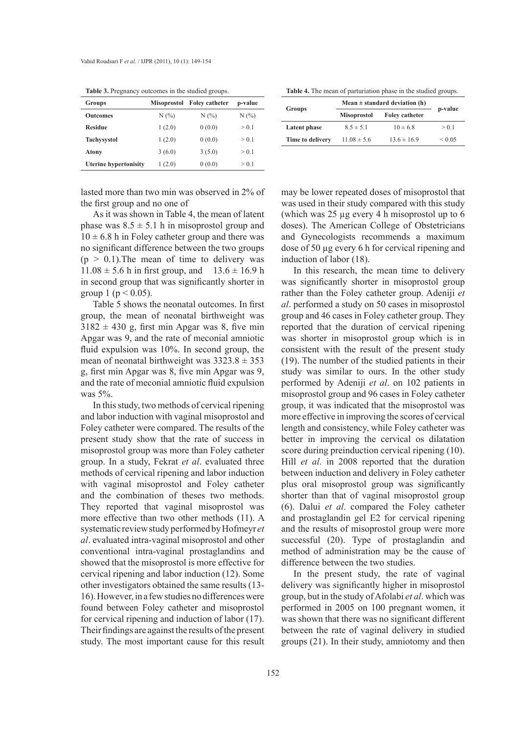|  | <b>Table 3.</b> Pregnancy outcomes in the studied groups. |
|--|-----------------------------------------------------------|
|--|-----------------------------------------------------------|

| Groups                       | Misoprostol | <b>Foley catheter</b> | p-value |
|------------------------------|-------------|-----------------------|---------|
| <b>Outcomes</b>              | N(%)        | N(%                   | N(%)    |
| <b>Residue</b>               | 1(2.0)      | 0(0.0)                | > 0.1   |
| <b>Tachysystol</b>           | 1(2.0)      | 0(0.0)                | > 0.1   |
| Atony                        | 3(6.0)      | 3(5.0)                | > 0.1   |
| <b>Uterine hypertonisity</b> | 1(2.0)      | 0(0.0)                | > 0.1   |

lasted more than two min was observed in 2% of the first group and no one of

As it was shown in Table 4, the mean of latent phase was  $8.5 \pm 5.1$  h in misoprostol group and  $10 \pm 6.8$  h in Foley catheter group and there was no significant difference between the two groups  $(p > 0.1)$ . The mean of time to delivery was  $11.08 \pm 5.6$  h in first group, and  $13.6 \pm 16.9$  h in second group that was significantly shorter in group 1 ( $p < 0.05$ ).

Table 5 shows the neonatal outcomes. In first group, the mean of neonatal birthweight was  $3182 \pm 430$  g, first min Apgar was 8, five min Apgar was 9, and the rate of meconial amniotic fluid expulsion was 10%. In second group, the mean of neonatal birthweight was  $3323.8 \pm 353$ g, first min Apgar was 8, five min Apgar was 9, and the rate of meconial amniotic fluid expulsion was 5%.

In this study, two methods of cervical ripening and labor induction with vaginal misoprostol and Foley catheter were compared. The results of the present study show that the rate of success in misoprostol group was more than Foley catheter group. In a study, Fekrat *et al*. evaluated three methods of cervical ripening and labor induction with vaginal misoprostol and Foley catheter and the combination of theses two methods. They reported that vaginal misoprostol was more effective than two other methods (11). A systematic review study performed by Hofmeyr *et al*. evaluated intra-vaginal misoprostol and other conventional intra-vaginal prostaglandins and showed that the misoprostol is more effective for cervical ripening and labor induction (12). Some other investigators obtained the same results (13- 16). However, in a few studies no differences were found between Foley catheter and misoprostol for cervical ripening and induction of labor (17). Their findings are against the results of the present study. The most important cause for this result

Table 4. The mean of parturiation phase in the studied groups.

|                  | Mean $\pm$ standard deviation (h) |                       |             |
|------------------|-----------------------------------|-----------------------|-------------|
| Groups           | <b>Misoprostol</b>                | <b>Foley catheter</b> | p-value     |
| Latent phase     | $8.5 \pm 5.1$                     | $10 \pm 6.8$          | > 0.1       |
| Time to delivery | $11.08 \pm 5.6$                   | $13.6 \pm 16.9$       | ${}_{0.05}$ |

may be lower repeated doses of misoprostol that was used in their study compared with this study (which was 25 µg every 4 h misoprostol up to 6 doses). The American College of Obstetricians and Gynecologists recommends a maximum dose of 50 µg every 6 h for cervical ripening and induction of labor (18).

In this research, the mean time to delivery was significantly shorter in misoprostol group rather than the Foley catheter group. Adeniji *et al*. performed a study on 50 cases in misoprostol group and 46 cases in Foley catheter group. They reported that the duration of cervical ripening was shorter in misoprostol group which is in consistent with the result of the present study (19). The number of the studied patients in their study was similar to ours. In the other study performed by Adeniji *et al*. on 102 patients in misoprostol group and 96 cases in Foley catheter group, it was indicated that the misoprostol was more effective in improving the scores of cervical length and consistency, while Foley catheter was better in improving the cervical os dilatation score during preinduction cervical ripening (10). Hill *et al*. in 2008 reported that the duration between induction and delivery in Foley catheter plus oral misoprostol group was significantly shorter than that of vaginal misoprostol group (6). Dalui *et al*. compared the Foley catheter and prostaglandin gel E2 for cervical ripening and the results of misoprostol group were more successful (20). Type of prostaglandin and method of administration may be the cause of difference between the two studies.

In the present study, the rate of vaginal delivery was significantly higher in misoprostol group, but in the study of Afolabi *et al*. which was performed in 2005 on 100 pregnant women, it was shown that there was no significant different between the rate of vaginal delivery in studied groups (21). In their study, amniotomy and then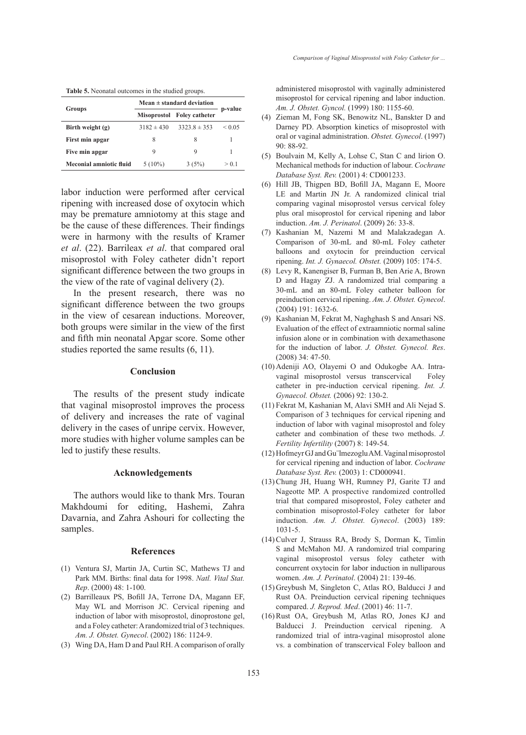| Table 5. Neonatal outcomes in the studied groups |  |  |  |  |
|--------------------------------------------------|--|--|--|--|
|--------------------------------------------------|--|--|--|--|

|                         | Mean $\pm$ standard deviation |                       |             |  |
|-------------------------|-------------------------------|-----------------------|-------------|--|
| Groups                  | <b>Misoprostol</b>            | <b>Foley catheter</b> | p-value     |  |
| Birth weight $(g)$      | $3182 \pm 430$                | $3323.8 \pm 353$      | ${}_{0.05}$ |  |
| First min apgar         | 8                             | 8                     |             |  |
| Five min apgar          | 9                             | 9                     |             |  |
| Meconial amniotic fluid | $5(10\%)$                     | 3(5%)                 | > 0.1       |  |

labor induction were performed after cervical ripening with increased dose of oxytocin which may be premature amniotomy at this stage and be the cause of these differences. Their findings were in harmony with the results of Kramer *et al*. (22). Barrileax *et al*. that compared oral misoprostol with Foley catheter didn't report significant difference between the two groups in the view of the rate of vaginal delivery (2).

In the present research, there was no significant difference between the two groups in the view of cesarean inductions. Moreover, both groups were similar in the view of the first and fifth min neonatal Apgar score. Some other studies reported the same results (6, 11).

#### **Conclusion**

The results of the present study indicate that vaginal misoprostol improves the process of delivery and increases the rate of vaginal delivery in the cases of unripe cervix. However, more studies with higher volume samples can be led to justify these results.

### **Acknowledgements**

The authors would like to thank Mrs. Touran Makhdoumi for editing, Hashemi, Zahra Davarnia, and Zahra Ashouri for collecting the samples.

#### **References**

- Ventura SJ, Martin JA, Curtin SC, Mathews TJ and (1) Park MM. Births: final data for 1998. *Natl. Vital Stat. Rep*. (2000) 48: 1-100.
- (2) Barrilleaux PS, Bofill JA, Terrone DA, Magann EF, May WL and Morrison JC. Cervical ripening and induction of labor with misoprostol, dinoprostone gel, and a Foley catheter: A randomized trial of 3 techniques. *Am. J. Obstet. Gynecol*. (2002) 186: 1124-9.
- Wing DA, Ham D and Paul RH. A comparison of orally (3)

administered misoprostol with vaginally administered misoprostol for cervical ripening and labor induction. *Am. J. Obstet. Gyncol.* (1999) 180: 1155-60.

- Zieman M, Fong SK, Benowitz NL, Banskter D and (4) Darney PD. Absorption kinetics of misoprostol with oral or vaginal administration. *Obstet. Gynecol*. (1997) 90: 88-92.
- $(5)$  Boulvain M, Kelly A, Lohse C, Stan C and lirion O. Mechanical methods for induction of labour. *Cochrane Database Syst. Rev.* (2001) 4: CD001233.
- (6) Hill JB, Thigpen BD, Bofill JA, Magann E, Moore LE and Martin JN Jr. A randomized clinical trial comparing vaginal misoprostol versus cervical foley plus oral misoprostol for cervical ripening and labor induction. *Am. J. Perinatol*. (2009) 26: 33-8.
- (7) Kashanian M, Nazemi M and Malakzadegan A. Comparison of 30-mL and 80-mL Foley catheter balloons and oxytocin for preinduction cervical ripening. *Int. J. Gynaecol. Obstet.* (2009) 105: 174-5.
- Levy R, Kanengiser B, Furman B, Ben Arie A, Brown (8) D and Hagay ZJ. A randomized trial comparing a 30-mL and an 80-mL Foley catheter balloon for preinduction cervical ripening. *Am. J. Obstet. Gynecol*. (2004) 191: 1632-6.
- (9) Kashanian M, Fekrat M, Naghghash S and Ansari NS. Evaluation of the effect of extraamniotic normal saline infusion alone or in combination with dexamethasone for the induction of labor. *J. Obstet. Gynecol. Res*. (2008) 34: 47-50.
- (10) Adeniji AO, Olayemi O and Odukogbe AA. Intravaginal misoprostol versus transcervical Foley catheter in pre-induction cervical ripening. *Int. J. Gynaecol. Obstet.* (2006) 92: 130-2.
- Fekrat M, Kashanian M, Alavi SMH and Ali Nejad S. (11) Comparison of 3 techniques for cervical ripening and induction of labor with vaginal misoprostol and foley catheter and combination of these two methods. *J. Fertility Infertility* (2007) 8: 149-54.
- (12) Hofmeyr GJ and Gu 'lmezoglu AM. Vaginal misoprostol for cervical ripening and induction of labor. *Cochrane Database Syst. Rev.* (2003) 1: CD000941.
- (13) Chung JH, Huang WH, Rumney PJ, Garite TJ and Nageotte MP. A prospective randomized controlled trial that compared misoprostol, Foley catheter and combination misoprostol-Foley catheter for labor induction. *Am. J. Obstet. Gynecol*. (2003) 189: 1031-5.
- (14) Culver J, Strauss RA, Brody S, Dorman K, Timlin S and McMahon MJ. A randomized trial comparing vaginal misoprostol versus foley catheter with concurrent oxytocin for labor induction in nulliparous women. *Am. J. Perinatol*. (2004) 21: 139-46.
- (15) Greybush M, Singleton C, Atlas RO, Balducci J and Rust OA. Preinduction cervical ripening techniques compared. *J. Reprod. Med*. (2001) 46: 11-7.
- $(16)$  Rust OA, Greybush M, Atlas RO, Jones KJ and Balducci J. Preinduction cervical ripening. A randomized trial of intra-vaginal misoprostol alone vs. a combination of transcervical Foley balloon and